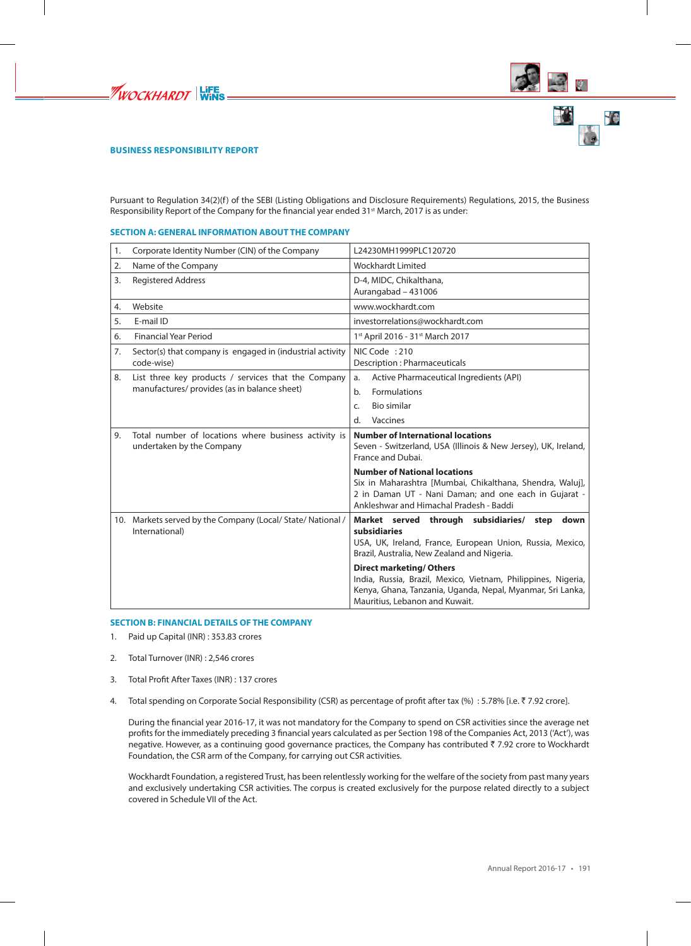





# **BUSINESS RESPONSIBILITY REPORT**

Pursuant to Regulation 34(2)(f) of the SEBI (Listing Obligations and Disclosure Requirements) Regulations, 2015, the Business Responsibility Report of the Company for the financial year ended 31<sup>st</sup> March, 2017 is as under:

#### **SECTION A: GENERAL INFORMATION ABOUT THE COMPANY**

| 1. | Corporate Identity Number (CIN) of the Company                                    | L24230MH1999PLC120720                                                                                                                                                                                |  |  |
|----|-----------------------------------------------------------------------------------|------------------------------------------------------------------------------------------------------------------------------------------------------------------------------------------------------|--|--|
| 2. | Name of the Company                                                               | <b>Wockhardt Limited</b>                                                                                                                                                                             |  |  |
| 3. | <b>Registered Address</b>                                                         | D-4, MIDC, Chikalthana,<br>Aurangabad - 431006                                                                                                                                                       |  |  |
| 4. | Website                                                                           | www.wockhardt.com                                                                                                                                                                                    |  |  |
| 5. | E-mail ID                                                                         | investorrelations@wockhardt.com                                                                                                                                                                      |  |  |
| 6. | <b>Financial Year Period</b>                                                      | 1st April 2016 - 31st March 2017                                                                                                                                                                     |  |  |
| 7. | Sector(s) that company is engaged in (industrial activity<br>code-wise)           | NIC Code: 210<br>Description : Pharmaceuticals                                                                                                                                                       |  |  |
| 8. | List three key products / services that the Company                               | Active Pharmaceutical Ingredients (API)<br>a.                                                                                                                                                        |  |  |
|    | manufactures/ provides (as in balance sheet)                                      | <b>Formulations</b><br>b.                                                                                                                                                                            |  |  |
|    |                                                                                   | Bio similar<br>C.                                                                                                                                                                                    |  |  |
|    |                                                                                   | d.<br>Vaccines                                                                                                                                                                                       |  |  |
| 9. | Total number of locations where business activity is<br>undertaken by the Company | <b>Number of International locations</b><br>Seven - Switzerland, USA (Illinois & New Jersey), UK, Ireland,<br>France and Dubai.                                                                      |  |  |
|    |                                                                                   | <b>Number of National locations</b><br>Six in Maharashtra [Mumbai, Chikalthana, Shendra, Waluj],<br>2 in Daman UT - Nani Daman; and one each in Gujarat -<br>Ankleshwar and Himachal Pradesh - Baddi |  |  |
|    | 10. Markets served by the Company (Local/State/National/<br>International)        | Market served through subsidiaries/ step<br>down<br>subsidiaries<br>USA, UK, Ireland, France, European Union, Russia, Mexico,<br>Brazil, Australia, New Zealand and Nigeria.                         |  |  |
|    |                                                                                   | <b>Direct marketing/ Others</b><br>India, Russia, Brazil, Mexico, Vietnam, Philippines, Nigeria,<br>Kenya, Ghana, Tanzania, Uganda, Nepal, Myanmar, Sri Lanka,<br>Mauritius, Lebanon and Kuwait.     |  |  |

## **SECTION B: FINANCIAL DETAILS OF THE COMPANY**

- 1. Paid up Capital (INR) : 353.83 crores
- 2. Total Turnover (INR) : 2,546 crores
- 3. Total Profit After Taxes (INR) : 137 crores
- 4. Total spending on Corporate Social Responsibility (CSR) as percentage of profit after tax (%) : 5.78% [i.e. ₹7.92 crore].

During the financial year 2016-17, it was not mandatory for the Company to spend on CSR activities since the average net profits for the immediately preceding 3 financial years calculated as per Section 198 of the Companies Act, 2013 ('Act'), was negative. However, as a continuing good governance practices, the Company has contributed ₹7.92 crore to Wockhardt Foundation, the CSR arm of the Company, for carrying out CSR activities.

Wockhardt Foundation, a registered Trust, has been relentlessly working for the welfare of the society from past many years and exclusively undertaking CSR activities. The corpus is created exclusively for the purpose related directly to a subject covered in Schedule VII of the Act.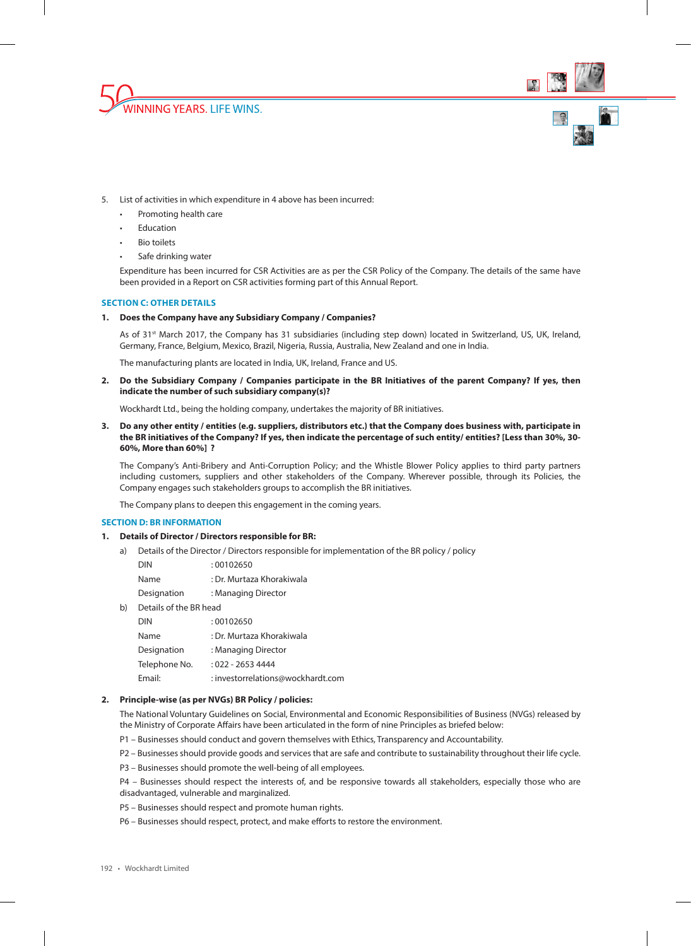



- 5. List of activities in which expenditure in 4 above has been incurred:
	- Promoting health care
	- **Education**
	- Bio toilets
	- Safe drinking water

Expenditure has been incurred for CSR Activities are as per the CSR Policy of the Company. The details of the same have been provided in a Report on CSR activities forming part of this Annual Report.

## **SECTION C: OTHER DETAILS**

## **1. Does the Company have any Subsidiary Company / Companies?**

As of 31<sup>st</sup> March 2017, the Company has 31 subsidiaries (including step down) located in Switzerland, US, UK, Ireland, Germany, France, Belgium, Mexico, Brazil, Nigeria, Russia, Australia, New Zealand and one in India.

The manufacturing plants are located in India, UK, Ireland, France and US.

**2. Do the Subsidiary Company / Companies participate in the BR Initiatives of the parent Company? If yes, then indicate the number of such subsidiary company(s)?**

Wockhardt Ltd., being the holding company, undertakes the majority of BR initiatives.

**3. Do any other entity / entities (e.g. suppliers, distributors etc.) that the Company does business with, participate in the BR initiatives of the Company? If yes, then indicate the percentage of such entity/ entities? [Less than 30%, 30- 60%, More than 60%] ?**

The Company's Anti-Bribery and Anti-Corruption Policy; and the Whistle Blower Policy applies to third party partners including customers, suppliers and other stakeholders of the Company. Wherever possible, through its Policies, the Company engages such stakeholders groups to accomplish the BR initiatives.

The Company plans to deepen this engagement in the coming years.

### **SECTION D: BR INFORMATION**

#### **1. Details of Director / Directors responsible for BR:**

a) Details of the Director / Directors responsible for implementation of the BR policy / policy

| <b>DIN</b>  | :00102650                 |
|-------------|---------------------------|
| <b>Name</b> | : Dr. Murtaza Khorakiwala |
| Designation | : Managing Director       |

b) Details of the BR head

| <b>DIN</b>    | : 00102650                        |
|---------------|-----------------------------------|
| Name          | : Dr. Murtaza Khorakiwala         |
| Designation   | : Managing Director               |
| Telephone No. | : 022 - 2653 4444                 |
| Email:        | : investorrelations@wockhardt.com |

### **2. Principle-wise (as per NVGs) BR Policy / policies:**

The National Voluntary Guidelines on Social, Environmental and Economic Responsibilities of Business (NVGs) released by the Ministry of Corporate Affairs have been articulated in the form of nine Principles as briefed below:

- P1 Businesses should conduct and govern themselves with Ethics, Transparency and Accountability.
- P2 Businesses should provide goods and services that are safe and contribute to sustainability throughout their life cycle.
- P3 Businesses should promote the well-being of all employees.

P4 – Businesses should respect the interests of, and be responsive towards all stakeholders, especially those who are disadvantaged, vulnerable and marginalized.

P5 – Businesses should respect and promote human rights.

P6 – Businesses should respect, protect, and make efforts to restore the environment.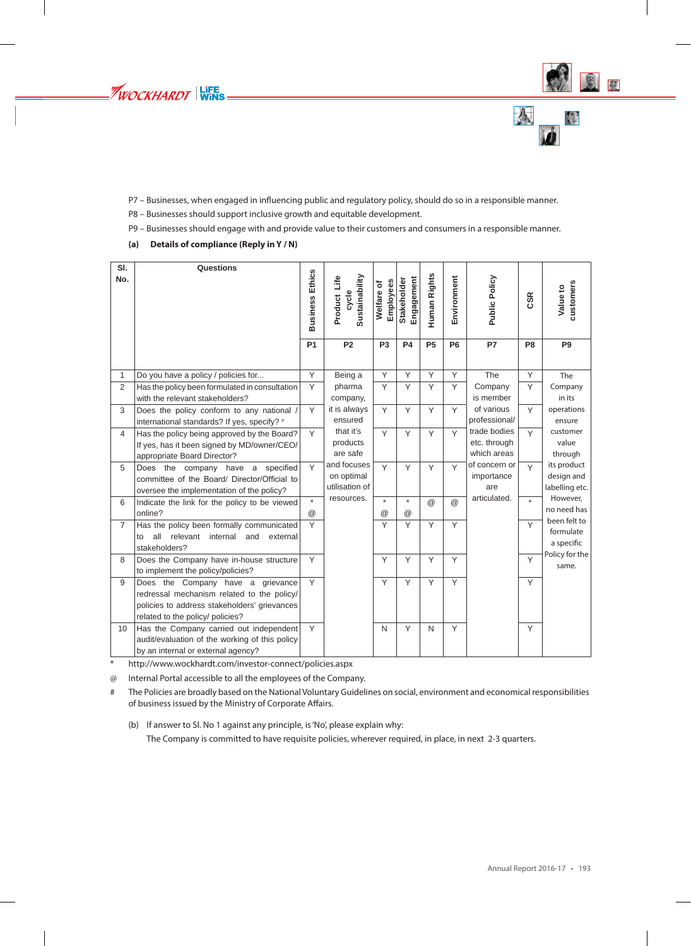



- P7 Businesses, when engaged in influencing public and regulatory policy, should do so in a responsible manner.
- P8 Businesses should support inclusive growth and equitable development.
- P9 Businesses should engage with and provide value to their customers and consumers in a responsible manner.
- **(a) Details of compliance (Reply in Y / N)**

| SI.<br>No.        | Questions                                                                                                                                                           | <b>Business Ethics</b><br><b>P1</b> | Sustainability<br>Product Life<br>cycle<br><b>P2</b> | Employees<br>Welfare of<br>P <sub>3</sub> | Engagement<br>Stakeholder<br><b>P4</b> | Human Rights<br>P <sub>5</sub> | Environment<br>P <sub>6</sub> | <b>Public Policy</b><br><b>P7</b>           | <b>CSR</b><br>P <sub>8</sub> | customers<br>Value to<br>P <sub>9</sub>     |
|-------------------|---------------------------------------------------------------------------------------------------------------------------------------------------------------------|-------------------------------------|------------------------------------------------------|-------------------------------------------|----------------------------------------|--------------------------------|-------------------------------|---------------------------------------------|------------------------------|---------------------------------------------|
|                   |                                                                                                                                                                     |                                     |                                                      |                                           |                                        |                                |                               |                                             |                              |                                             |
| $\mathbf{1}$<br>2 | Do you have a policy / policies for                                                                                                                                 | Y<br>Y                              | Being a<br>pharma                                    | Y<br>Y                                    | Y<br>Υ                                 | Y<br>Y                         | Y<br>Y                        | The<br>Company                              | Y<br>Y                       | The                                         |
|                   | Has the policy been formulated in consultation<br>with the relevant stakeholders?                                                                                   |                                     | company,                                             |                                           |                                        |                                |                               | is member                                   |                              | Company<br>in its                           |
| 3                 | Does the policy conform to any national /<br>international standards? If yes, specify? #                                                                            | Y                                   | it is always<br>ensured                              | Y                                         | Y                                      | Y                              | Y                             | of various<br>professional/                 | Y                            | operations<br>ensure                        |
| $\overline{4}$    | Has the policy being approved by the Board?<br>If yes, has it been signed by MD/owner/CEO/<br>appropriate Board Director?                                           | Y                                   | that it's<br>products<br>are safe                    | Y                                         | Y                                      | Y                              | Y                             | trade bodies<br>etc. through<br>which areas | Y                            | customer<br>value<br>through                |
| 5                 | Does the company have a<br>specified<br>committee of the Board/ Director/Official to<br>oversee the implementation of the policy?                                   | Y                                   | and focuses<br>on optimal<br>utilisation of          | Y                                         | Y                                      | Y                              | Y                             | of concern or<br>importance<br>are          | Y                            | its product<br>design and<br>labelling etc. |
| 6                 | Indicate the link for the policy to be viewed<br>online?                                                                                                            | $\star$<br>$\circleda$              | resources.                                           | $\star$<br>$^{\circledR}$                 | $\star$<br>@                           | @                              | $\circleda$                   | articulated.                                | $\star$                      | However,<br>no need has                     |
| $\overline{7}$    | Has the policy been formally communicated<br>all<br>relevant<br>internal<br>and<br>to<br>external<br>stakeholders?                                                  | Y                                   |                                                      | Y                                         | Y                                      | Y                              | Y                             |                                             | Y                            | been felt to<br>formulate<br>a specific     |
| 8                 | Does the Company have in-house structure<br>to implement the policy/policies?                                                                                       | Y                                   |                                                      | Y                                         | Υ                                      | Y                              | Y                             |                                             | Y                            | Policy for the<br>same.                     |
| 9                 | Does the Company have a grievance<br>redressal mechanism related to the policy/<br>policies to address stakeholders' grievances<br>related to the policy/ policies? | Y                                   |                                                      | Y                                         | Y                                      | Y                              | Y                             |                                             | Y                            |                                             |
| 10                | Has the Company carried out independent<br>audit/evaluation of the working of this policy<br>by an internal or external agency?                                     | Y                                   |                                                      | $\mathsf{N}$                              | Y                                      | N                              | Y                             |                                             | Y                            |                                             |

\* http://www.wockhardt.com/investor-connect/policies.aspx

@ Internal Portal accessible to all the employees of the Company.

# The Policies are broadly based on the National Voluntary Guidelines on social, environment and economical responsibilities of business issued by the Ministry of Corporate Affairs.

(b) If answer to Sl. No 1 against any principle, is 'No', please explain why:

The Company is committed to have requisite policies, wherever required, in place, in next 2-3 quarters.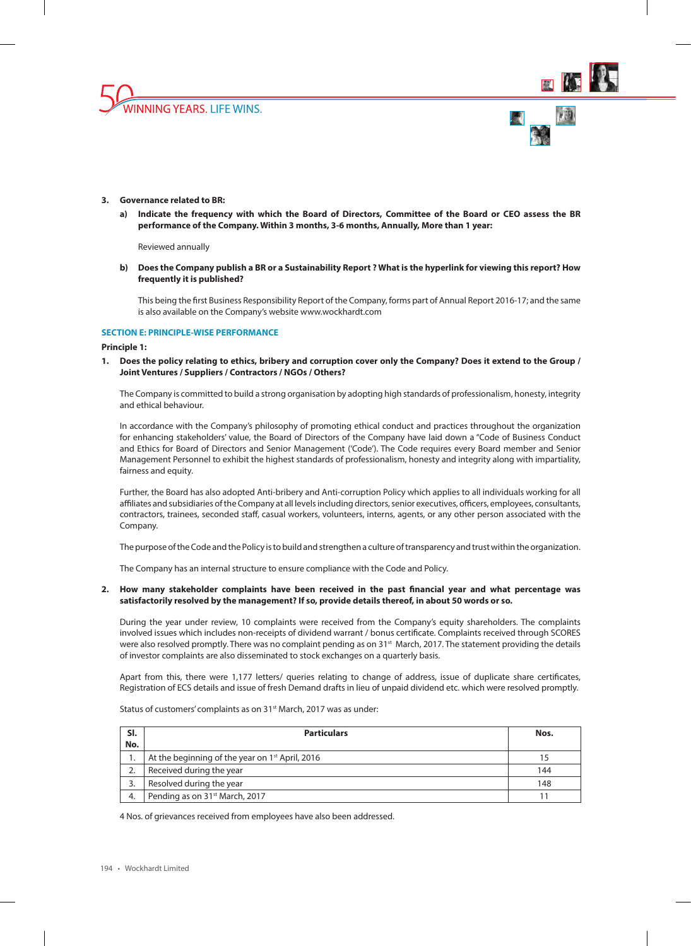





## **3. Governance related to BR:**

**a) Indicate the frequency with which the Board of Directors, Committee of the Board or CEO assess the BR performance of the Company. Within 3 months, 3-6 months, Annually, More than 1 year:**

Reviewed annually

**b) Does the Company publish a BR or a Sustainability Report ? What is the hyperlink for viewing this report? How frequently it is published?**

This being the first Business Responsibility Report of the Company, forms part of Annual Report 2016-17; and the same is also available on the Company's website www.wockhardt.com

## **SECTION E: PRINCIPLE-WISE PERFORMANCE**

#### **Principle 1:**

**1. Does the policy relating to ethics, bribery and corruption cover only the Company? Does it extend to the Group / Joint Ventures / Suppliers / Contractors / NGOs / Others?**

The Company is committed to build a strong organisation by adopting high standards of professionalism, honesty, integrity and ethical behaviour.

In accordance with the Company's philosophy of promoting ethical conduct and practices throughout the organization for enhancing stakeholders' value, the Board of Directors of the Company have laid down a "Code of Business Conduct and Ethics for Board of Directors and Senior Management ('Code'). The Code requires every Board member and Senior Management Personnel to exhibit the highest standards of professionalism, honesty and integrity along with impartiality, fairness and equity.

Further, the Board has also adopted Anti-bribery and Anti-corruption Policy which applies to all individuals working for all affiliates and subsidiaries of the Company at all levels including directors, senior executives, officers, employees, consultants, contractors, trainees, seconded staff, casual workers, volunteers, interns, agents, or any other person associated with the Company.

The purpose of the Code and the Policy is to build and strengthen a culture of transparency and trust within the organization.

The Company has an internal structure to ensure compliance with the Code and Policy.

# **2. How many stakeholder complaints have been received in the past financial year and what percentage was satisfactorily resolved by the management? If so, provide details thereof, in about 50 words or so.**

During the year under review, 10 complaints were received from the Company's equity shareholders. The complaints involved issues which includes non-receipts of dividend warrant / bonus certificate. Complaints received through SCORES were also resolved promptly. There was no complaint pending as on 31<sup>st</sup> March, 2017. The statement providing the details of investor complaints are also disseminated to stock exchanges on a quarterly basis.

Apart from this, there were 1,177 letters/ queries relating to change of address, issue of duplicate share certificates, Registration of ECS details and issue of fresh Demand drafts in lieu of unpaid dividend etc. which were resolved promptly.

Status of customers' complaints as on 31<sup>st</sup> March, 2017 was as under:

| SI.<br>No. | <b>Particulars</b>                                          | Nos. |
|------------|-------------------------------------------------------------|------|
|            | At the beginning of the year on 1 <sup>st</sup> April, 2016 |      |
|            | Received during the year                                    | 144  |
|            | Resolved during the year                                    | 148  |
| 4.         | Pending as on 31 <sup>st</sup> March, 2017                  |      |

4 Nos. of grievances received from employees have also been addressed.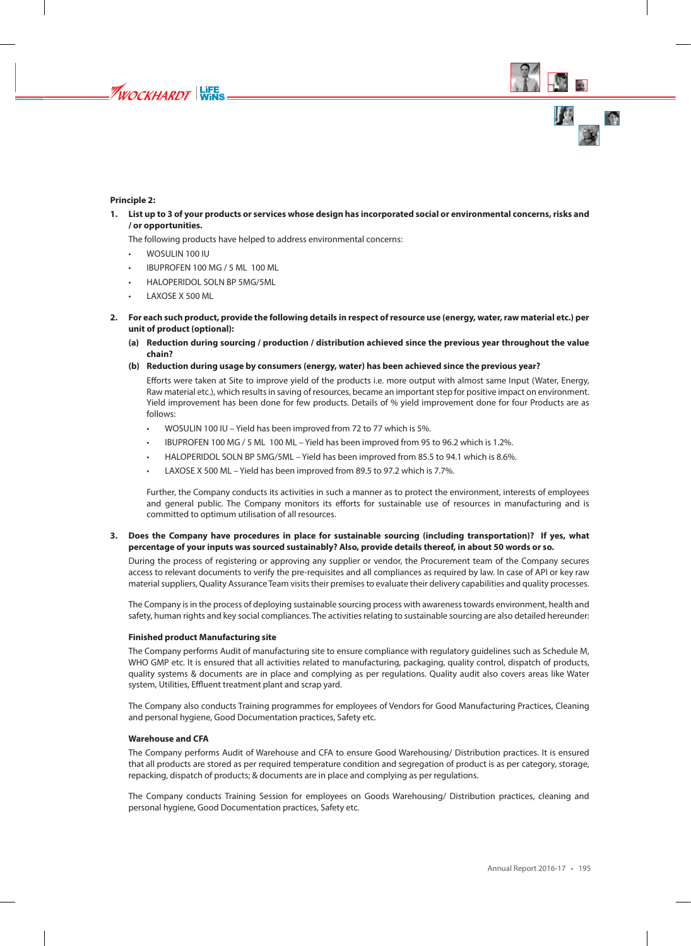

# **Principle 2:**

**1. List up to 3 of your products or services whose design has incorporated social or environmental concerns, risks and / or opportunities.**

The following products have helped to address environmental concerns:

- WOSULIN 100 IU
- IBUPROFEN 100 MG / 5 ML 100 ML
- HALOPERIDOL SOLN BP 5MG/5ML
- LAXOSE X 500 ML
- **2. For each such product, provide the following details in respect of resource use (energy, water, raw material etc.) per unit of product (optional):**
	- **(a) Reduction during sourcing / production / distribution achieved since the previous year throughout the value chain?**
	- **(b) Reduction during usage by consumers (energy, water) has been achieved since the previous year?**

Efforts were taken at Site to improve yield of the products i.e. more output with almost same Input (Water, Energy, Raw material etc.), which results in saving of resources, became an important step for positive impact on environment. Yield improvement has been done for few products. Details of % yield improvement done for four Products are as follows:

- WOSULIN 100 IU Yield has been improved from 72 to 77 which is 5%.
- IBUPROFEN 100 MG / 5 ML 100 ML Yield has been improved from 95 to 96.2 which is 1.2%.
- HALOPERIDOL SOLN BP 5MG/5ML Yield has been improved from 85.5 to 94.1 which is 8.6%.
- LAXOSE X 500 ML Yield has been improved from 89.5 to 97.2 which is 7.7%.

Further, the Company conducts its activities in such a manner as to protect the environment, interests of employees and general public. The Company monitors its efforts for sustainable use of resources in manufacturing and is committed to optimum utilisation of all resources.

## **3. Does the Company have procedures in place for sustainable sourcing (including transportation)? If yes, what percentage of your inputs was sourced sustainably? Also, provide details thereof, in about 50 words or so.**

During the process of registering or approving any supplier or vendor, the Procurement team of the Company secures access to relevant documents to verify the pre-requisites and all compliances as required by law. In case of API or key raw material suppliers, Quality Assurance Team visits their premises to evaluate their delivery capabilities and quality processes.

The Company is in the process of deploying sustainable sourcing process with awareness towards environment, health and safety, human rights and key social compliances. The activities relating to sustainable sourcing are also detailed hereunder:

## **Finished product Manufacturing site**

The Company performs Audit of manufacturing site to ensure compliance with regulatory guidelines such as Schedule M, WHO GMP etc. It is ensured that all activities related to manufacturing, packaging, quality control, dispatch of products, quality systems & documents are in place and complying as per regulations. Quality audit also covers areas like Water system, Utilities, Effluent treatment plant and scrap yard.

The Company also conducts Training programmes for employees of Vendors for Good Manufacturing Practices, Cleaning and personal hygiene, Good Documentation practices, Safety etc.

#### **Warehouse and CFA**

The Company performs Audit of Warehouse and CFA to ensure Good Warehousing/ Distribution practices. It is ensured that all products are stored as per required temperature condition and segregation of product is as per category, storage, repacking, dispatch of products; & documents are in place and complying as per regulations.

The Company conducts Training Session for employees on Goods Warehousing/ Distribution practices, cleaning and personal hygiene, Good Documentation practices, Safety etc.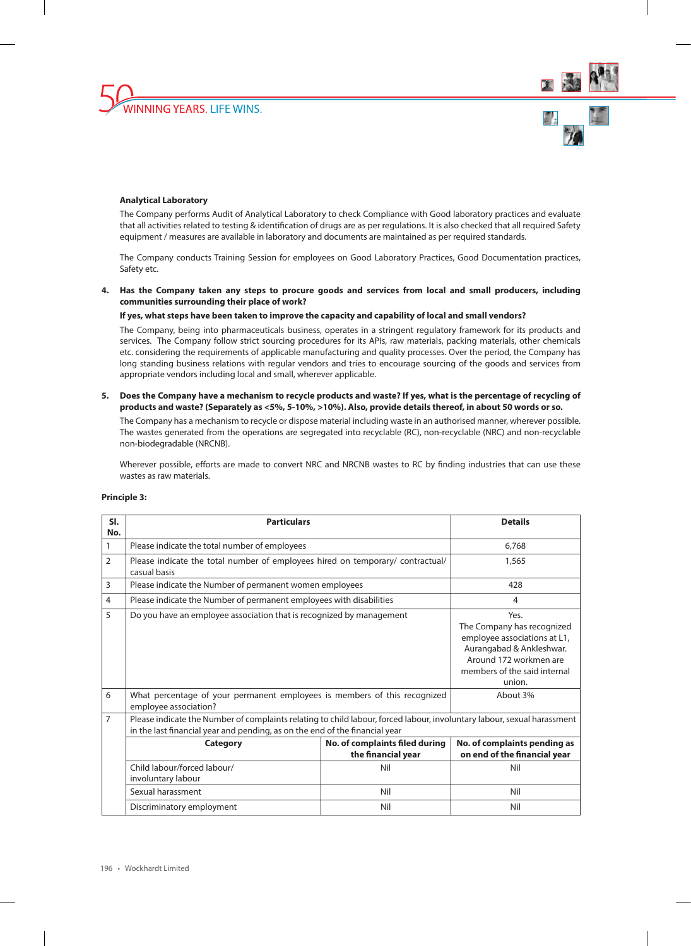



## **Analytical Laboratory**

The Company performs Audit of Analytical Laboratory to check Compliance with Good laboratory practices and evaluate that all activities related to testing & identification of drugs are as per regulations. It is also checked that all required Safety equipment / measures are available in laboratory and documents are maintained as per required standards.

The Company conducts Training Session for employees on Good Laboratory Practices, Good Documentation practices, Safety etc.

**4. Has the Company taken any steps to procure goods and services from local and small producers, including communities surrounding their place of work?**

## **If yes, what steps have been taken to improve the capacity and capability of local and small vendors?**

The Company, being into pharmaceuticals business, operates in a stringent regulatory framework for its products and services. The Company follow strict sourcing procedures for its APIs, raw materials, packing materials, other chemicals etc. considering the requirements of applicable manufacturing and quality processes. Over the period, the Company has long standing business relations with regular vendors and tries to encourage sourcing of the goods and services from appropriate vendors including local and small, wherever applicable.

**5. Does the Company have a mechanism to recycle products and waste? If yes, what is the percentage of recycling of products and waste? (Separately as <5%, 5-10%, >10%). Also, provide details thereof, in about 50 words or so.**

The Company has a mechanism to recycle or dispose material including waste in an authorised manner, wherever possible. The wastes generated from the operations are segregated into recyclable (RC), non-recyclable (NRC) and non-recyclable non-biodegradable (NRCNB).

Wherever possible, efforts are made to convert NRC and NRCNB wastes to RC by finding industries that can use these wastes as raw materials.

| SI.<br>No.     | <b>Particulars</b>                                                                                                                                                                                     | <b>Details</b>                                                                                                                                                     |                                                              |  |  |
|----------------|--------------------------------------------------------------------------------------------------------------------------------------------------------------------------------------------------------|--------------------------------------------------------------------------------------------------------------------------------------------------------------------|--------------------------------------------------------------|--|--|
| 1              | Please indicate the total number of employees                                                                                                                                                          | 6.768                                                                                                                                                              |                                                              |  |  |
| $\overline{2}$ | Please indicate the total number of employees hired on temporary/ contractual/<br>casual basis                                                                                                         |                                                                                                                                                                    | 1,565                                                        |  |  |
| 3              | Please indicate the Number of permanent women employees                                                                                                                                                |                                                                                                                                                                    | 428                                                          |  |  |
| 4              | Please indicate the Number of permanent employees with disabilities                                                                                                                                    |                                                                                                                                                                    | 4                                                            |  |  |
| 5              | Do you have an employee association that is recognized by management                                                                                                                                   | Yes.<br>The Company has recognized<br>employee associations at L1,<br>Aurangabad & Ankleshwar.<br>Around 172 workmen are<br>members of the said internal<br>union. |                                                              |  |  |
| 6              | What percentage of your permanent employees is members of this recognized<br>employee association?                                                                                                     | About 3%                                                                                                                                                           |                                                              |  |  |
| 7              | Please indicate the Number of complaints relating to child labour, forced labour, involuntary labour, sexual harassment<br>in the last financial year and pending, as on the end of the financial year |                                                                                                                                                                    |                                                              |  |  |
|                | <b>Category</b>                                                                                                                                                                                        | No. of complaints filed during<br>the financial year                                                                                                               | No. of complaints pending as<br>on end of the financial year |  |  |
|                | Child labour/forced labour/<br>involuntary labour                                                                                                                                                      | Nil                                                                                                                                                                | Nil                                                          |  |  |
|                | Sexual harassment                                                                                                                                                                                      | Nil                                                                                                                                                                | Nil                                                          |  |  |
|                | Discriminatory employment                                                                                                                                                                              | Nil                                                                                                                                                                |                                                              |  |  |

#### **Principle 3:**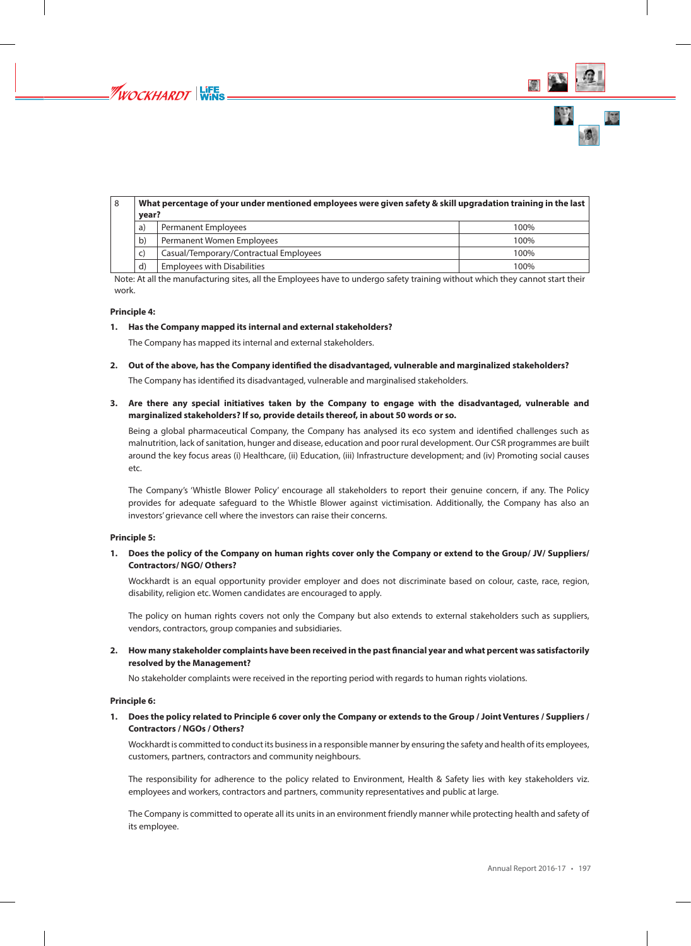

| 8 | What percentage of your under mentioned employees were given safety & skill upgradation training in the last<br>year? |                                        |      |  |  |
|---|-----------------------------------------------------------------------------------------------------------------------|----------------------------------------|------|--|--|
|   | a)                                                                                                                    | <b>Permanent Employees</b>             | 100% |  |  |
|   | $\mathbf{b}$                                                                                                          | Permanent Women Employees              | 100% |  |  |
|   | C)                                                                                                                    | Casual/Temporary/Contractual Employees | 100% |  |  |
|   | d                                                                                                                     | <b>Employees with Disabilities</b>     | 100% |  |  |

Note: At all the manufacturing sites, all the Employees have to undergo safety training without which they cannot start their work.

## **Principle 4:**

# **1. Has the Company mapped its internal and external stakeholders?**

The Company has mapped its internal and external stakeholders.

**2. Out of the above, has the Company identified the disadvantaged, vulnerable and marginalized stakeholders?**

The Company has identified its disadvantaged, vulnerable and marginalised stakeholders.

**3. Are there any special initiatives taken by the Company to engage with the disadvantaged, vulnerable and marginalized stakeholders? If so, provide details thereof, in about 50 words or so.**

Being a global pharmaceutical Company, the Company has analysed its eco system and identified challenges such as malnutrition, lack of sanitation, hunger and disease, education and poor rural development. Our CSR programmes are built around the key focus areas (i) Healthcare, (ii) Education, (iii) Infrastructure development; and (iv) Promoting social causes etc.

The Company's 'Whistle Blower Policy' encourage all stakeholders to report their genuine concern, if any. The Policy provides for adequate safeguard to the Whistle Blower against victimisation. Additionally, the Company has also an investors' grievance cell where the investors can raise their concerns.

# **Principle 5:**

**1. Does the policy of the Company on human rights cover only the Company or extend to the Group/ JV/ Suppliers/ Contractors/ NGO/ Others?**

Wockhardt is an equal opportunity provider employer and does not discriminate based on colour, caste, race, region, disability, religion etc. Women candidates are encouraged to apply.

The policy on human rights covers not only the Company but also extends to external stakeholders such as suppliers, vendors, contractors, group companies and subsidiaries.

**2. How many stakeholder complaints have been received in the past financial year and what percent was satisfactorily resolved by the Management?**

No stakeholder complaints were received in the reporting period with regards to human rights violations.

# **Principle 6:**

**1. Does the policy related to Principle 6 cover only the Company or extends to the Group / Joint Ventures / Suppliers / Contractors / NGOs / Others?**

Wockhardt is committed to conduct its business in a responsible manner by ensuring the safety and health of its employees, customers, partners, contractors and community neighbours.

The responsibility for adherence to the policy related to Environment, Health & Safety lies with key stakeholders viz. employees and workers, contractors and partners, community representatives and public at large.

The Company is committed to operate all its units in an environment friendly manner while protecting health and safety of its employee.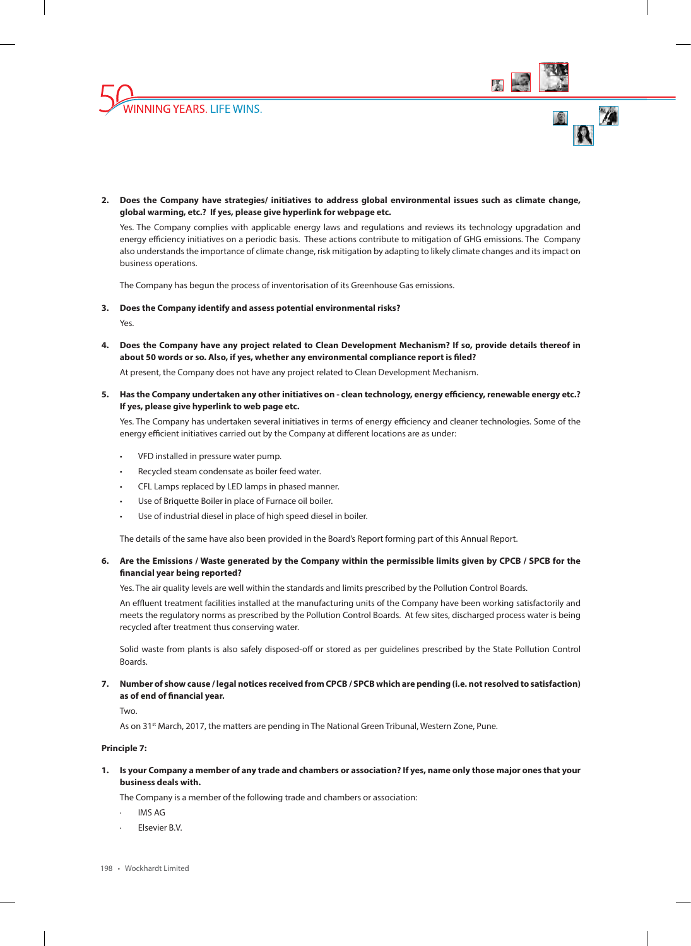





**2. Does the Company have strategies/ initiatives to address global environmental issues such as climate change, global warming, etc.? If yes, please give hyperlink for webpage etc.**

Yes. The Company complies with applicable energy laws and regulations and reviews its technology upgradation and energy efficiency initiatives on a periodic basis. These actions contribute to mitigation of GHG emissions. The Company also understands the importance of climate change, risk mitigation by adapting to likely climate changes and its impact on business operations.

The Company has begun the process of inventorisation of its Greenhouse Gas emissions.

**3. Does the Company identify and assess potential environmental risks?**

Yes.

**4. Does the Company have any project related to Clean Development Mechanism? If so, provide details thereof in about 50 words or so. Also, if yes, whether any environmental compliance report is filed?**

At present, the Company does not have any project related to Clean Development Mechanism.

**5. Has the Company undertaken any other initiatives on - clean technology, energy efficiency, renewable energy etc.? If yes, please give hyperlink to web page etc.**

Yes. The Company has undertaken several initiatives in terms of energy efficiency and cleaner technologies. Some of the energy efficient initiatives carried out by the Company at different locations are as under:

- VFD installed in pressure water pump.
- Recycled steam condensate as boiler feed water.
- CFL Lamps replaced by LED lamps in phased manner.
- Use of Briquette Boiler in place of Furnace oil boiler.
- Use of industrial diesel in place of high speed diesel in boiler.

The details of the same have also been provided in the Board's Report forming part of this Annual Report.

# **6. Are the Emissions / Waste generated by the Company within the permissible limits given by CPCB / SPCB for the financial year being reported?**

Yes. The air quality levels are well within the standards and limits prescribed by the Pollution Control Boards.

An effluent treatment facilities installed at the manufacturing units of the Company have been working satisfactorily and meets the regulatory norms as prescribed by the Pollution Control Boards. At few sites, discharged process water is being recycled after treatment thus conserving water.

Solid waste from plants is also safely disposed-off or stored as per guidelines prescribed by the State Pollution Control Boards.

# **7. Number of show cause / legal notices received from CPCB / SPCB which are pending (i.e. not resolved to satisfaction) as of end of financial year.**

Two.

As on 31<sup>st</sup> March, 2017, the matters are pending in The National Green Tribunal, Western Zone, Pune.

## **Principle 7:**

**1. Is your Company a member of any trade and chambers or association? If yes, name only those major ones that your business deals with.**

The Company is a member of the following trade and chambers or association:

- · IMS AG
- Elsevier B.V.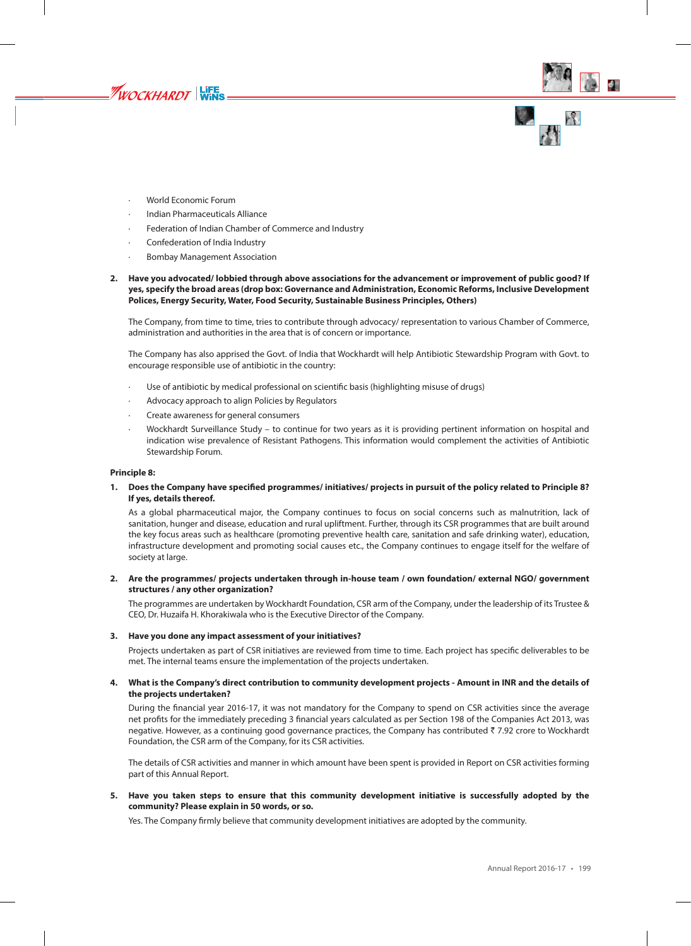



· World Economic Forum

WOCKHARDT WINS

- · Indian Pharmaceuticals Alliance
- Federation of Indian Chamber of Commerce and Industry
- · Confederation of India Industry
- Bombay Management Association

## **2. Have you advocated/ lobbied through above associations for the advancement or improvement of public good? If yes, specify the broad areas (drop box: Governance and Administration, Economic Reforms, Inclusive Development Polices, Energy Security, Water, Food Security, Sustainable Business Principles, Others)**

The Company, from time to time, tries to contribute through advocacy/ representation to various Chamber of Commerce, administration and authorities in the area that is of concern or importance.

The Company has also apprised the Govt. of India that Wockhardt will help Antibiotic Stewardship Program with Govt. to encourage responsible use of antibiotic in the country:

- Use of antibiotic by medical professional on scientific basis (highlighting misuse of drugs)
- Advocacy approach to align Policies by Regulators
- · Create awareness for general consumers
- · Wockhardt Surveillance Study to continue for two years as it is providing pertinent information on hospital and indication wise prevalence of Resistant Pathogens. This information would complement the activities of Antibiotic Stewardship Forum.

## **Principle 8:**

**1. Does the Company have specified programmes/ initiatives/ projects in pursuit of the policy related to Principle 8? If yes, details thereof.**

As a global pharmaceutical major, the Company continues to focus on social concerns such as malnutrition, lack of sanitation, hunger and disease, education and rural upliftment. Further, through its CSR programmes that are built around the key focus areas such as healthcare (promoting preventive health care, sanitation and safe drinking water), education, infrastructure development and promoting social causes etc., the Company continues to engage itself for the welfare of society at large.

# **2. Are the programmes/ projects undertaken through in-house team / own foundation/ external NGO/ government structures / any other organization?**

The programmes are undertaken by Wockhardt Foundation, CSR arm of the Company, under the leadership of its Trustee & CEO, Dr. Huzaifa H. Khorakiwala who is the Executive Director of the Company.

# **3. Have you done any impact assessment of your initiatives?**

Projects undertaken as part of CSR initiatives are reviewed from time to time. Each project has specific deliverables to be met. The internal teams ensure the implementation of the projects undertaken.

# **4. What is the Company's direct contribution to community development projects - Amount in INR and the details of the projects undertaken?**

During the financial year 2016-17, it was not mandatory for the Company to spend on CSR activities since the average net profits for the immediately preceding 3 financial years calculated as per Section 198 of the Companies Act 2013, was negative. However, as a continuing good governance practices, the Company has contributed ₹7.92 crore to Wockhardt Foundation, the CSR arm of the Company, for its CSR activities.

The details of CSR activities and manner in which amount have been spent is provided in Report on CSR activities forming part of this Annual Report.

**5. Have you taken steps to ensure that this community development initiative is successfully adopted by the community? Please explain in 50 words, or so.**

Yes. The Company firmly believe that community development initiatives are adopted by the community.